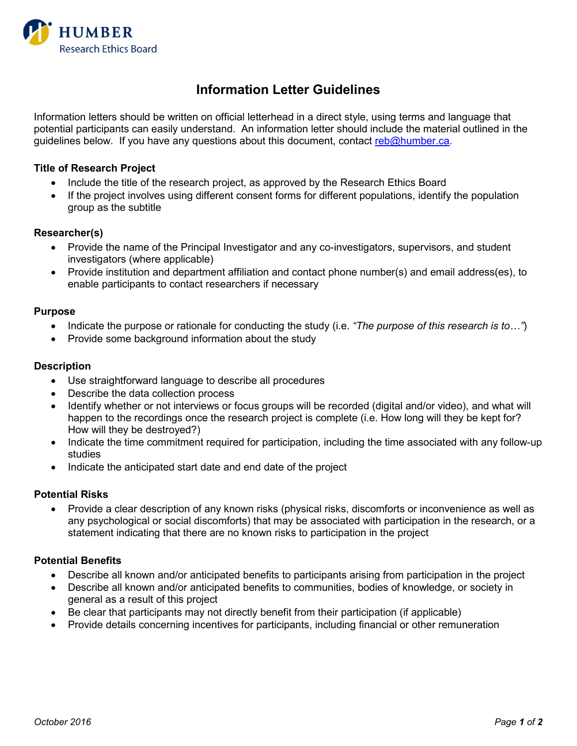

# **Information Letter Guidelines**

Information letters should be written on official letterhead in a direct style, using terms and language that potential participants can easily understand. An information letter should include the material outlined in the guidelines below. If you have any questions about this document, contact [reb@humber.ca.](mailto:reb@humber.ca)

## **Title of Research Project**

- Include the title of the research project, as approved by the Research Ethics Board
- If the project involves using different consent forms for different populations, identify the population group as the subtitle

## **Researcher(s)**

- Provide the name of the Principal Investigator and any co-investigators, supervisors, and student investigators (where applicable)
- Provide institution and department affiliation and contact phone number(s) and email address(es), to enable participants to contact researchers if necessary

## **Purpose**

- Indicate the purpose or rationale for conducting the study (i.e. *"The purpose of this research is to…"*)
- Provide some background information about the study

## **Description**

- Use straightforward language to describe all procedures
- Describe the data collection process
- Identify whether or not interviews or focus groups will be recorded (digital and/or video), and what will happen to the recordings once the research project is complete (i.e. How long will they be kept for? How will they be destroyed?)
- Indicate the time commitment required for participation, including the time associated with any follow-up studies
- Indicate the anticipated start date and end date of the project

### **Potential Risks**

• Provide a clear description of any known risks (physical risks, discomforts or inconvenience as well as any psychological or social discomforts) that may be associated with participation in the research, or a statement indicating that there are no known risks to participation in the project

### **Potential Benefits**

- Describe all known and/or anticipated benefits to participants arising from participation in the project
- Describe all known and/or anticipated benefits to communities, bodies of knowledge, or society in general as a result of this project
- Be clear that participants may not directly benefit from their participation (if applicable)
- Provide details concerning incentives for participants, including financial or other remuneration